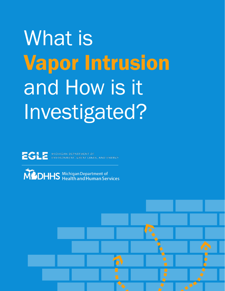# What is Vapor Intrusion and How is it Investigated?



ECLE MICHIGAN DEPARTMENT OF

MOHHS Michigan Department of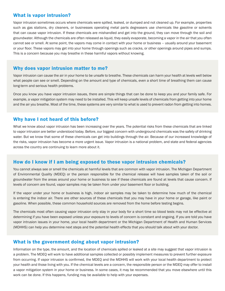#### What is vapor intrusion?

Vapor intrusion sometimes occurs where chemicals were spilled, leaked, or dumped and not cleaned up. For example, properties such as gas stations, dry cleaners, or businesses operating metal parts degreasers use chemicals like gasoline or solvents that can cause vapor intrusion. If these chemicals are mishandled and get into the ground, they can move through the soil and groundwater. Although the chemicals are often released as liquid, they easily evaporate, becoming a vapor in the air that you often cannot see or smell. At some point, the vapors may come in contact with your home or business – usually around your basement or your floor. These vapors may get into your home through openings such as cracks, or other openings around pipes and sumps. This is a concern because you may breathe in these harmful vapors without knowing.

#### Why does vapor intrusion matter to me?

Vapor intrusion can cause the air in your home to be unsafe to breathe. These chemicals can harm your health at levels well below what people can see or smell. Depending on the amount and type of chemicals, even a short time of breathing them can cause long-term and serious health problems.

Once you know you have vapor intrusion issues, there are simple things that can be done to keep you and your family safe. For example, a vapor mitigation system may need to be installed. This will keep unsafe levels of chemicals from getting into your home and the air you breathe. Most of the time, these systems are very similar to what is used to prevent radon from getting into homes.

#### Why have I not heard of this before?

What we know about vapor intrusion has been increasing over the years. The potential risks from these chemicals that are linked to vapor intrusion are better understood today. Before, our biggest concern with underground chemicals was the safety of drinking water. But we know that some of these chemicals can get into buildings through the air. Because of our increased knowledge of the risks, vapor intrusion has become a more urgent issue. Vapor intrusion is a national problem, and state and federal agencies across the country are continuing to learn more about it.

### How do I know if I am being exposed to these vapor intrusion chemicals?

You cannot always see or smell the chemicals at harmful levels that are common with vapor intrusion. The Michigan Department of Environmental Quality (MDEQ) or the person responsible for the chemical release will have samples taken of the soil or groundwater from the areas around your home or business to see if these chemicals are found at levels that cause concern. If levels of concern are found, vapor samples may be taken from under your basement floor or building.

If the vapor under your home or business is high, indoor air samples may be taken to determine how much of the chemical is entering the indoor air. There are other sources of these chemicals that you may have in your home or garage, like paint or gasoline. When possible, these common household sources are removed from the home before testing begins.

The chemicals most often causing vapor intrusion only stay in your body for a short time so blood tests may not be effective at determining if you have been exposed unless your exposure to levels of concern is constant and ongoing. If you are told you have vapor intrusion issues in your home, your local health department or the Michigan Department of Health and Human Services (MDHHS) can help you determine next steps and the potential health effects that you should talk about with your doctor.

#### What is the government doing about vapor intrusion?

Information on the type, the amount, and the location of chemicals spilled or leaked at a site may suggest that vapor intrusion is a problem. The MDEQ will work to have additional samples collected or possibly implement measures to prevent further exposure from occurring. If vapor intrusion is confirmed, the MDEQ and the MDHHS will work with your local health department to protect your health and those living with you. If the chemical levels are a concern, the responsible person or the MDEQ may offer to install a vapor mitigation system in your home or business. In some cases, it may be recommended that you move elsewhere until this work can be done. If this happens, funding may be available to help with your expenses.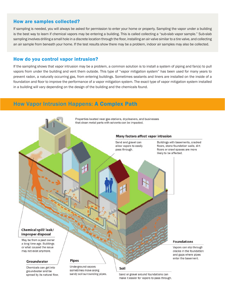#### How are samples collected?

If sampling is needed, you will always be asked for permission to enter your home or property. Sampling the vapor under a building is the best way to learn if chemical vapors may be entering a building. This is called collecting a "sub-slab vapor sample." Sub-slab sampling involves drilling a small hole in a discrete location through the floor, installing an air valve similar to a tire valve, and collecting an air sample from beneath your home. If the test results show there may be a problem, indoor air samples may also be collected.

#### How do you control vapor intrusion?

If the sampling shows that vapor intrusion may be a problem, a common solution is to install a system of piping and fan(s) to pull vapors from under the building and vent them outside. This type of "vapor mitigation system" has been used for many years to prevent radon, a naturally occurring gas, from entering buildings. Sometimes sealants and liners are installed on the inside of a foundation and floor to improve the performance of a vapor mitigation system. The exact type of vapor mitigation system installed in a building will vary depending on the design of the building and the chemicals found.

## How Vapor Intrusion Happens: A Complex Path



Chemicals can get into groundwater and be spread by its natural flow. Underground vapors sometimes move along sandy soil surrounding pipes.

Sand or gravel around foundations can make it easier for vapors to pass through.

Soil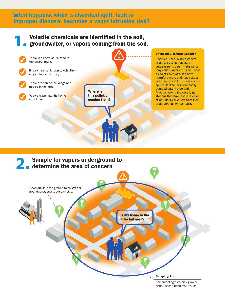## What happens when a chemical spill, leak or improper disposal becomes a vapor intrusion risk?

## Volatile chemicals are identified in the soil, groundwater, or vapors coming from the soil.



#### **Chemical Discharge Location**

Chemical used by dry cleaners and businesses that used degreasers to clean metal parts may cause vapor intrusion. These types of chemicals can have harmful vapors and may pose a potential risk if the chemicals are spilled, leaked, or intentionally dumped onto the ground. Another potential source is gas stations that have had a release of petroleum products from their underground storage tanks.



The sampling area may grow or shrink based upon test results.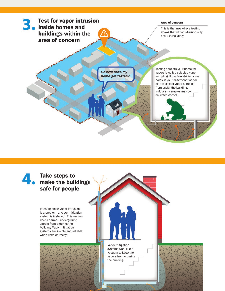

## **Take steps to** make the buildings safe for people

If testing finds vapor intrusion is a problem, a vapor mitigation system is installed. This system keeps harmful underground vapors from entering the building. Vapor mitigation systems are simple and reliable when used correctly.

> Vapor mitigation systems work like a vacuum to keep the vapors from entering the building.